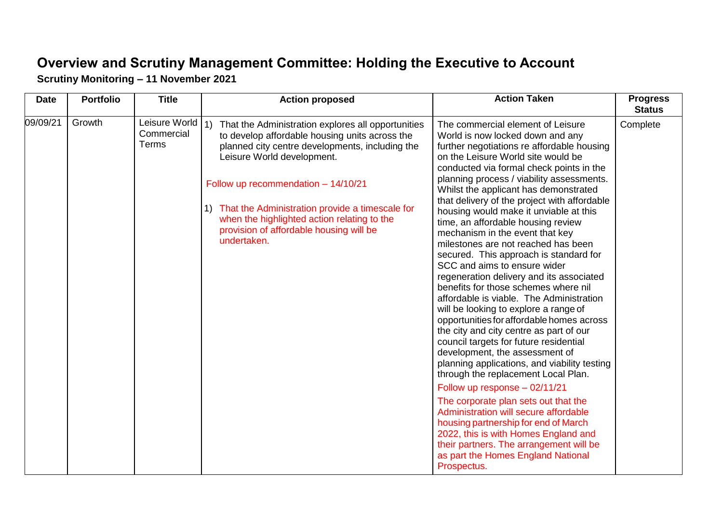## **Overview and Scrutiny Management Committee: Holding the Executive to Account Scrutiny Monitoring – 11 November 2021**

| <b>Date</b> | <b>Portfolio</b> | <b>Title</b>                         | <b>Action proposed</b>                                                                                                                                                                                                                                                                                                                                                                            | <b>Action Taken</b>                                                                                                                                                                                                                                                                                                                                                                                                                                                                                                                                                                                                                                                                                                                                                                                                                                                                                                                                                                                                                                                                                                                                                                                                                                                                                                   | <b>Progress</b><br><b>Status</b> |
|-------------|------------------|--------------------------------------|---------------------------------------------------------------------------------------------------------------------------------------------------------------------------------------------------------------------------------------------------------------------------------------------------------------------------------------------------------------------------------------------------|-----------------------------------------------------------------------------------------------------------------------------------------------------------------------------------------------------------------------------------------------------------------------------------------------------------------------------------------------------------------------------------------------------------------------------------------------------------------------------------------------------------------------------------------------------------------------------------------------------------------------------------------------------------------------------------------------------------------------------------------------------------------------------------------------------------------------------------------------------------------------------------------------------------------------------------------------------------------------------------------------------------------------------------------------------------------------------------------------------------------------------------------------------------------------------------------------------------------------------------------------------------------------------------------------------------------------|----------------------------------|
| 09/09/21    | Growth           | Leisure World<br>Commercial<br>Terms | 1)<br>That the Administration explores all opportunities<br>to develop affordable housing units across the<br>planned city centre developments, including the<br>Leisure World development.<br>Follow up recommendation - 14/10/21<br>1) That the Administration provide a timescale for<br>when the highlighted action relating to the<br>provision of affordable housing will be<br>undertaken. | The commercial element of Leisure<br>World is now locked down and any<br>further negotiations re affordable housing<br>on the Leisure World site would be<br>conducted via formal check points in the<br>planning process / viability assessments.<br>Whilst the applicant has demonstrated<br>that delivery of the project with affordable<br>housing would make it unviable at this<br>time, an affordable housing review<br>mechanism in the event that key<br>milestones are not reached has been<br>secured. This approach is standard for<br>SCC and aims to ensure wider<br>regeneration delivery and its associated<br>benefits for those schemes where nil<br>affordable is viable. The Administration<br>will be looking to explore a range of<br>opportunities for affordable homes across<br>the city and city centre as part of our<br>council targets for future residential<br>development, the assessment of<br>planning applications, and viability testing<br>through the replacement Local Plan.<br>Follow up response - 02/11/21<br>The corporate plan sets out that the<br>Administration will secure affordable<br>housing partnership for end of March<br>2022, this is with Homes England and<br>their partners. The arrangement will be<br>as part the Homes England National<br>Prospectus. | Complete                         |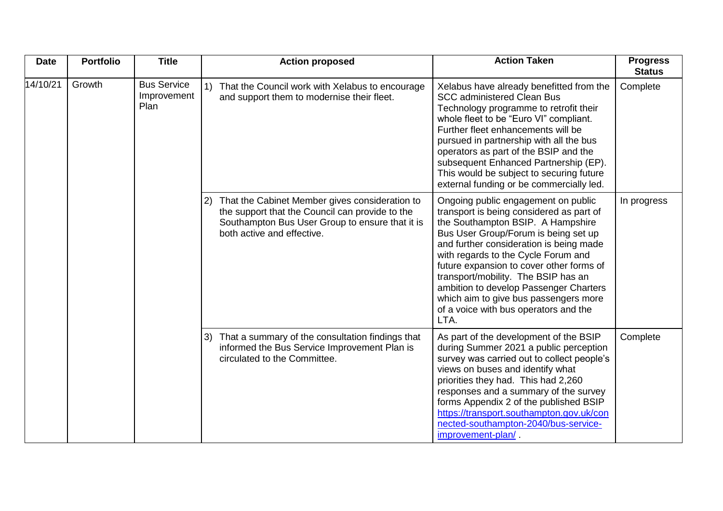| <b>Date</b> | <b>Portfolio</b> | <b>Title</b>                              | <b>Action proposed</b>                                                                                                                                                                             | <b>Action Taken</b>                                                                                                                                                                                                                                                                                                                                                                                                                                                   | <b>Progress</b><br><b>Status</b> |
|-------------|------------------|-------------------------------------------|----------------------------------------------------------------------------------------------------------------------------------------------------------------------------------------------------|-----------------------------------------------------------------------------------------------------------------------------------------------------------------------------------------------------------------------------------------------------------------------------------------------------------------------------------------------------------------------------------------------------------------------------------------------------------------------|----------------------------------|
| 14/10/21    | Growth           | <b>Bus Service</b><br>Improvement<br>Plan | That the Council work with Xelabus to encourage<br>and support them to modernise their fleet.                                                                                                      | Xelabus have already benefitted from the<br><b>SCC administered Clean Bus</b><br>Technology programme to retrofit their<br>whole fleet to be "Euro VI" compliant.<br>Further fleet enhancements will be<br>pursued in partnership with all the bus<br>operators as part of the BSIP and the<br>subsequent Enhanced Partnership (EP).<br>This would be subject to securing future<br>external funding or be commercially led.                                          | Complete                         |
|             |                  |                                           | That the Cabinet Member gives consideration to<br>$\mathbf{2}$<br>the support that the Council can provide to the<br>Southampton Bus User Group to ensure that it is<br>both active and effective. | Ongoing public engagement on public<br>transport is being considered as part of<br>the Southampton BSIP. A Hampshire<br>Bus User Group/Forum is being set up<br>and further consideration is being made<br>with regards to the Cycle Forum and<br>future expansion to cover other forms of<br>transport/mobility. The BSIP has an<br>ambition to develop Passenger Charters<br>which aim to give bus passengers more<br>of a voice with bus operators and the<br>LTA. | In progress                      |
|             |                  |                                           | That a summary of the consultation findings that<br>3)<br>informed the Bus Service Improvement Plan is<br>circulated to the Committee.                                                             | As part of the development of the BSIP<br>during Summer 2021 a public perception<br>survey was carried out to collect people's<br>views on buses and identify what<br>priorities they had. This had 2,260<br>responses and a summary of the survey<br>forms Appendix 2 of the published BSIP<br>https://transport.southampton.gov.uk/con<br>nected-southampton-2040/bus-service-<br>improvement-plan/                                                                 | Complete                         |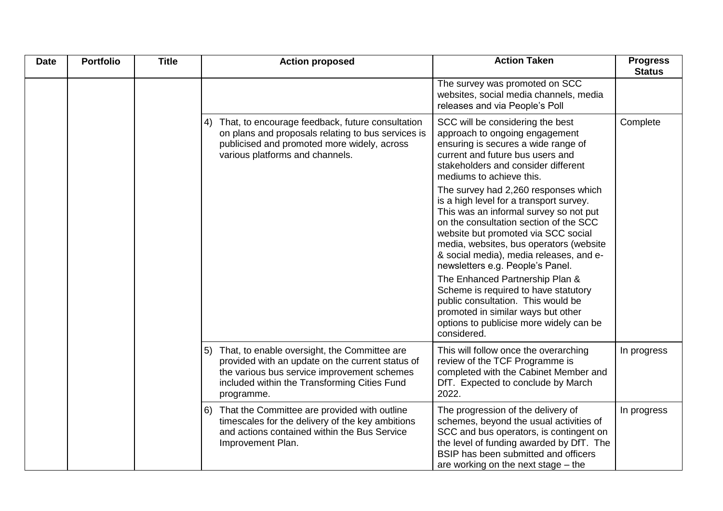| <b>Date</b> | <b>Portfolio</b> | <b>Title</b> | <b>Action proposed</b>                                                                                                                                                                                           | <b>Action Taken</b>                                                                                                                                                                                                                                                                                                                  | <b>Progress</b><br><b>Status</b> |
|-------------|------------------|--------------|------------------------------------------------------------------------------------------------------------------------------------------------------------------------------------------------------------------|--------------------------------------------------------------------------------------------------------------------------------------------------------------------------------------------------------------------------------------------------------------------------------------------------------------------------------------|----------------------------------|
|             |                  |              |                                                                                                                                                                                                                  | The survey was promoted on SCC<br>websites, social media channels, media<br>releases and via People's Poll                                                                                                                                                                                                                           |                                  |
|             |                  |              | 4) That, to encourage feedback, future consultation<br>on plans and proposals relating to bus services is<br>publicised and promoted more widely, across<br>various platforms and channels.                      | SCC will be considering the best<br>approach to ongoing engagement<br>ensuring is secures a wide range of<br>current and future bus users and<br>stakeholders and consider different<br>mediums to achieve this.                                                                                                                     | Complete                         |
|             |                  |              |                                                                                                                                                                                                                  | The survey had 2,260 responses which<br>is a high level for a transport survey.<br>This was an informal survey so not put<br>on the consultation section of the SCC<br>website but promoted via SCC social<br>media, websites, bus operators (website<br>& social media), media releases, and e-<br>newsletters e.g. People's Panel. |                                  |
|             |                  |              |                                                                                                                                                                                                                  | The Enhanced Partnership Plan &<br>Scheme is required to have statutory<br>public consultation. This would be<br>promoted in similar ways but other<br>options to publicise more widely can be<br>considered.                                                                                                                        |                                  |
|             |                  |              | 5) That, to enable oversight, the Committee are<br>provided with an update on the current status of<br>the various bus service improvement schemes<br>included within the Transforming Cities Fund<br>programme. | This will follow once the overarching<br>review of the TCF Programme is<br>completed with the Cabinet Member and<br>DfT. Expected to conclude by March<br>2022.                                                                                                                                                                      | In progress                      |
|             |                  |              | 6) That the Committee are provided with outline<br>timescales for the delivery of the key ambitions<br>and actions contained within the Bus Service<br>Improvement Plan.                                         | The progression of the delivery of<br>schemes, beyond the usual activities of<br>SCC and bus operators, is contingent on<br>the level of funding awarded by DfT. The<br>BSIP has been submitted and officers<br>are working on the next stage $-$ the                                                                                | In progress                      |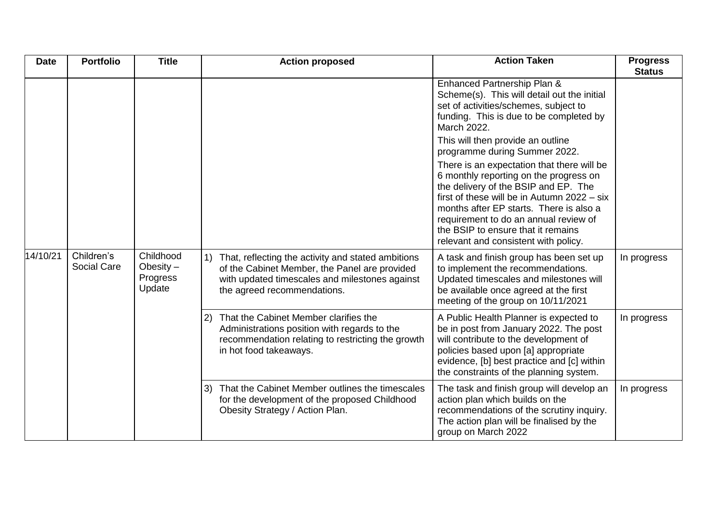| <b>Date</b> | <b>Portfolio</b>                 | <b>Title</b>                                   | <b>Action proposed</b>                                                                                                                                                                  | <b>Action Taken</b>                                                                                                                                                                                                                                                                                                                           | <b>Progress</b><br><b>Status</b> |
|-------------|----------------------------------|------------------------------------------------|-----------------------------------------------------------------------------------------------------------------------------------------------------------------------------------------|-----------------------------------------------------------------------------------------------------------------------------------------------------------------------------------------------------------------------------------------------------------------------------------------------------------------------------------------------|----------------------------------|
|             |                                  |                                                |                                                                                                                                                                                         | Enhanced Partnership Plan &<br>Scheme(s). This will detail out the initial<br>set of activities/schemes, subject to<br>funding. This is due to be completed by<br>March 2022.                                                                                                                                                                 |                                  |
|             |                                  |                                                |                                                                                                                                                                                         | This will then provide an outline<br>programme during Summer 2022.                                                                                                                                                                                                                                                                            |                                  |
|             |                                  |                                                |                                                                                                                                                                                         | There is an expectation that there will be<br>6 monthly reporting on the progress on<br>the delivery of the BSIP and EP. The<br>first of these will be in Autumn 2022 - six<br>months after EP starts. There is also a<br>requirement to do an annual review of<br>the BSIP to ensure that it remains<br>relevant and consistent with policy. |                                  |
| 14/10/21    | Children's<br><b>Social Care</b> | Childhood<br>Obesity $-$<br>Progress<br>Update | 1) That, reflecting the activity and stated ambitions<br>of the Cabinet Member, the Panel are provided<br>with updated timescales and milestones against<br>the agreed recommendations. | A task and finish group has been set up<br>to implement the recommendations.<br>Updated timescales and milestones will<br>be available once agreed at the first<br>meeting of the group on 10/11/2021                                                                                                                                         | In progress                      |
|             |                                  |                                                | That the Cabinet Member clarifies the<br>2)<br>Administrations position with regards to the<br>recommendation relating to restricting the growth<br>in hot food takeaways.              | A Public Health Planner is expected to<br>be in post from January 2022. The post<br>will contribute to the development of<br>policies based upon [a] appropriate<br>evidence, [b] best practice and [c] within<br>the constraints of the planning system.                                                                                     | In progress                      |
|             |                                  |                                                | That the Cabinet Member outlines the timescales<br>3)<br>for the development of the proposed Childhood<br>Obesity Strategy / Action Plan.                                               | The task and finish group will develop an<br>action plan which builds on the<br>recommendations of the scrutiny inquiry.<br>The action plan will be finalised by the<br>group on March 2022                                                                                                                                                   | In progress                      |